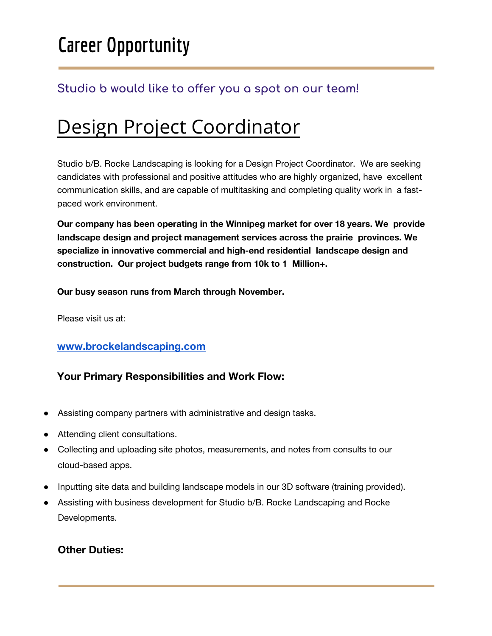# **Career Opportunity**

### **Studio b would like to offer you a spot on our team!**

## Design Project Coordinator

Studio b/B. Rocke Landscaping is looking for a Design Project Coordinator. We are seeking candidates with professional and positive attitudes who are highly organized, have excellent communication skills, and are capable of multitasking and completing quality work in a fastpaced work environment.

**Our company has been operating in the Winnipeg market for over 18 years. We provide landscape design and project management services across the prairie provinces. We specialize in innovative commercial and high-end residential landscape design and construction. Our project budgets range from 10k to 1 Million+.** 

**Our busy season runs from March through November.** 

Please visit us at:

#### **[www.brockelandscaping.com](https://www.brockelandscaping.com/contact/employment/)**

#### **Your Primary Responsibilities and Work Flow:**

- Assisting company partners with administrative and design tasks.
- **●** Attending client consultations.
- **●** Collecting and uploading site photos, measurements, and notes from consults to our cloud-based apps.
- **●** Inputting site data and building landscape models in our 3D software (training provided).
- **●** Assisting with business development for Studio b/B. Rocke Landscaping and Rocke Developments.

#### **Other Duties:**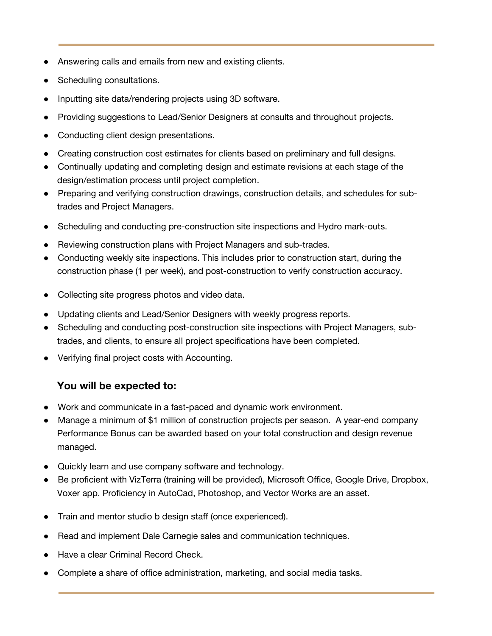- Answering calls and emails from new and existing clients.
- **●** Scheduling consultations.
- **●** Inputting site data/rendering projects using 3D software.
- **●** Providing suggestions to Lead/Senior Designers at consults and throughout projects.
- **●** Conducting client design presentations.
- **●** Creating construction cost estimates for clients based on preliminary and full designs.
- **●** Continually updating and completing design and estimate revisions at each stage of the design/estimation process until project completion.
- **●** Preparing and verifying construction drawings, construction details, and schedules for subtrades and Project Managers.
- **●** Scheduling and conducting pre-construction site inspections and Hydro mark-outs.
- **●** Reviewing construction plans with Project Managers and sub-trades.
- **●** Conducting weekly site inspections. This includes prior to construction start, during the construction phase (1 per week), and post-construction to verify construction accuracy.
- **●** Collecting site progress photos and video data.
- **●** Updating clients and Lead/Senior Designers with weekly progress reports.
- **●** Scheduling and conducting post-construction site inspections with Project Managers, subtrades, and clients, to ensure all project specifications have been completed.
- **●** Verifying final project costs with Accounting.

#### **You will be expected to:**

- **●** Work and communicate in a fast-paced and dynamic work environment.
- **●** Manage a minimum of \$1 million of construction projects per season. A year-end company Performance Bonus can be awarded based on your total construction and design revenue managed.
- **●** Quickly learn and use company software and technology.
- **●** Be proficient with VizTerra (training will be provided), Microsoft Office, Google Drive, Dropbox, Voxer app. Proficiency in AutoCad, Photoshop, and Vector Works are an asset.
- **●** Train and mentor studio b design staff (once experienced).
- **●** Read and implement Dale Carnegie sales and communication techniques.
- **●** Have a clear Criminal Record Check.
- **●** Complete a share of office administration, marketing, and social media tasks.